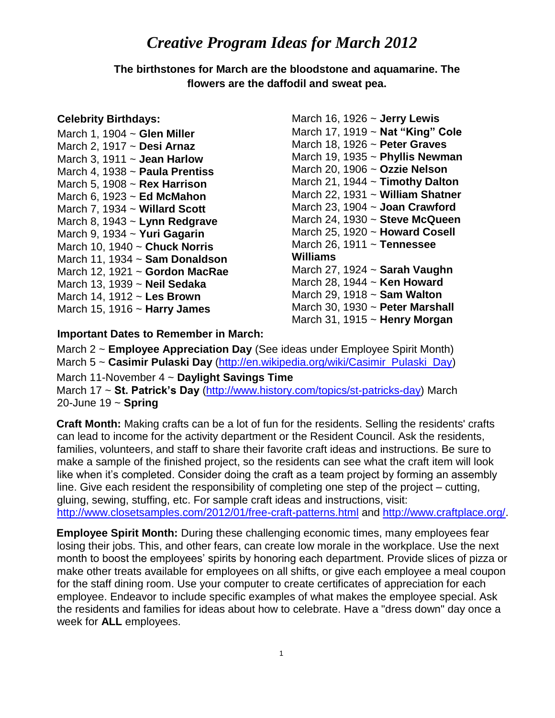## *Creative Program Ideas for March 2012*

**The birthstones for March are the bloodstone and aquamarine. The flowers are the daffodil and sweat pea.**

## **Celebrity Birthdays:**

March 1, 1904 ~ **Glen Miller** March 2, 1917 ~ **Desi Arnaz** March 3, 1911 ~ **Jean Harlow** March 4, 1938 ~ **Paula Prentiss** March 5, 1908 ~ **Rex Harrison** March 6, 1923 ~ **Ed McMahon** March 7, 1934 ~ **Willard Scott** March 8, 1943 ~ **Lynn Redgrave** March 9, 1934 ~ **Yuri Gagarin** March 10, 1940 ~ **Chuck Norris** March 11, 1934 ~ **Sam Donaldson** March 12, 1921 ~ **Gordon MacRae** March 13, 1939 ~ **Neil Sedaka** March 14, 1912 ~ **Les Brown**  March 15, 1916 ~ **Harry James**

March 16, 1926 ~ **Jerry Lewis**  March 17, 1919 ~ **Nat "King" Cole** March 18, 1926 ~ **Peter Graves** March 19, 1935 ~ **Phyllis Newman** March 20, 1906 ~ **Ozzie Nelson** March 21, 1944 ~ **Timothy Dalton** March 22, 1931 ~ **William Shatner** March 23, 1904 ~ **Joan Crawford** March 24, 1930 ~ **Steve McQueen** March 25, 1920 ~ **Howard Cosell** March 26, 1911 ~ **Tennessee Williams** March 27, 1924 ~ **Sarah Vaughn** March 28, 1944 ~ **Ken Howard** March 29, 1918 ~ **Sam Walton**  March 30, 1930 ~ **Peter Marshall**  March 31, 1915 ~ **Henry Morgan**

## **Important Dates to Remember in March:**

March 2 ~ **Employee Appreciation Day** (See ideas under Employee Spirit Month) March 5 ~ **Casimir Pulaski Day** [\(http://en.wikipedia.org/wiki/Casimir\\_Pulaski\\_Day\)](http://en.wikipedia.org/wiki/Casimir_Pulaski_Day) March 11-November 4 ~ **Daylight Savings Time** March 17 ~ **St. Patrick's Day** [\(http://www.history.com/topics/st-patricks-day\)](http://www.history.com/topics/st-patricks-day) March 20-June 19 ~ **Spring**

**Craft Month:** Making crafts can be a lot of fun for the residents. Selling the residents' crafts can lead to income for the activity department or the Resident Council. Ask the residents, families, volunteers, and staff to share their favorite craft ideas and instructions. Be sure to make a sample of the finished project, so the residents can see what the craft item will look like when it's completed. Consider doing the craft as a team project by forming an assembly line. Give each resident the responsibility of completing one step of the project – cutting, gluing, sewing, stuffing, etc. For sample craft ideas and instructions, visit: <http://www.closetsamples.com/2012/01/free-craft-patterns.html> and [http://www.craftplace.org/.](http://www.craftplace.org/)

**Employee Spirit Month:** During these challenging economic times, many employees fear losing their jobs. This, and other fears, can create low morale in the workplace. Use the next month to boost the employees' spirits by honoring each department. Provide slices of pizza or make other treats available for employees on all shifts, or give each employee a meal coupon for the staff dining room. Use your computer to create certificates of appreciation for each employee. Endeavor to include specific examples of what makes the employee special. Ask the residents and families for ideas about how to celebrate. Have a "dress down" day once a week for **ALL** employees.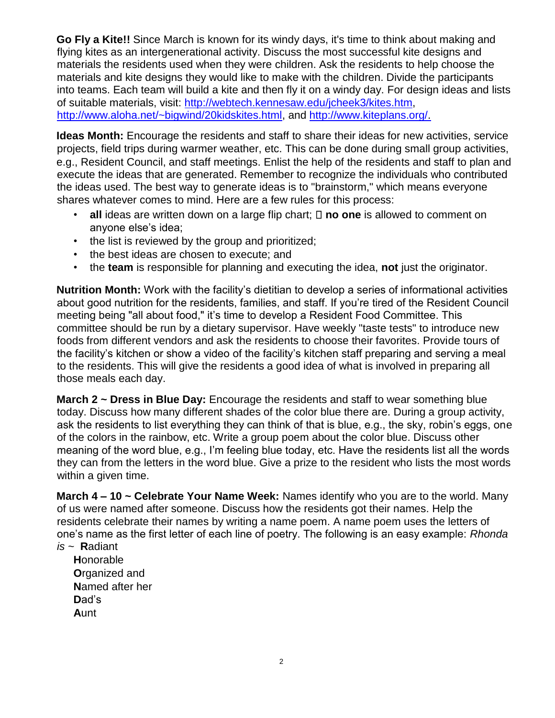**Go Fly a Kite!!** Since March is known for its windy days, it's time to think about making and flying kites as an intergenerational activity. Discuss the most successful kite designs and materials the residents used when they were children. Ask the residents to help choose the materials and kite designs they would like to make with the children. Divide the participants into teams. Each team will build a kite and then fly it on a windy day. For design ideas and lists of suitable materials, visit: [http://webtech.kennesaw.edu/jcheek3/kites.htm,](http://webtech.kennesaw.edu/jcheek3/kites.htm) [http://www.aloha.net/~bigwind/20kidskites.html,](http://www.aloha.net/~bigwind/20kidskites.html) and [http://www.kiteplans.org/.](http://www.kiteplans.org/)

**Ideas Month:** Encourage the residents and staff to share their ideas for new activities, service projects, field trips during warmer weather, etc. This can be done during small group activities, e.g., Resident Council, and staff meetings. Enlist the help of the residents and staff to plan and execute the ideas that are generated. Remember to recognize the individuals who contributed the ideas used. The best way to generate ideas is to "brainstorm," which means everyone shares whatever comes to mind. Here are a few rules for this process:

- all ideas are written down on a large flip chart;  $\Box$  no one is allowed to comment on anyone else's idea;
- the list is reviewed by the group and prioritized;
- the best ideas are chosen to execute; and
- the **team** is responsible for planning and executing the idea, **not** just the originator.

**Nutrition Month:** Work with the facility's dietitian to develop a series of informational activities about good nutrition for the residents, families, and staff. If you're tired of the Resident Council meeting being "all about food," it's time to develop a Resident Food Committee. This committee should be run by a dietary supervisor. Have weekly "taste tests" to introduce new foods from different vendors and ask the residents to choose their favorites. Provide tours of the facility's kitchen or show a video of the facility's kitchen staff preparing and serving a meal to the residents. This will give the residents a good idea of what is involved in preparing all those meals each day.

**March 2 ~ Dress in Blue Day:** Encourage the residents and staff to wear something blue today. Discuss how many different shades of the color blue there are. During a group activity, ask the residents to list everything they can think of that is blue, e.g., the sky, robin's eggs, one of the colors in the rainbow, etc. Write a group poem about the color blue. Discuss other meaning of the word blue, e.g., I'm feeling blue today, etc. Have the residents list all the words they can from the letters in the word blue. Give a prize to the resident who lists the most words within a given time.

**March 4 – 10 ~ Celebrate Your Name Week:** Names identify who you are to the world. Many of us were named after someone. Discuss how the residents got their names. Help the residents celebrate their names by writing a name poem. A name poem uses the letters of one's name as the first letter of each line of poetry. The following is an easy example: *Rhonda* 

*is ~* **R**adiant

**H**onorable **O**rganized and **N**amed after her **D**ad's **A**unt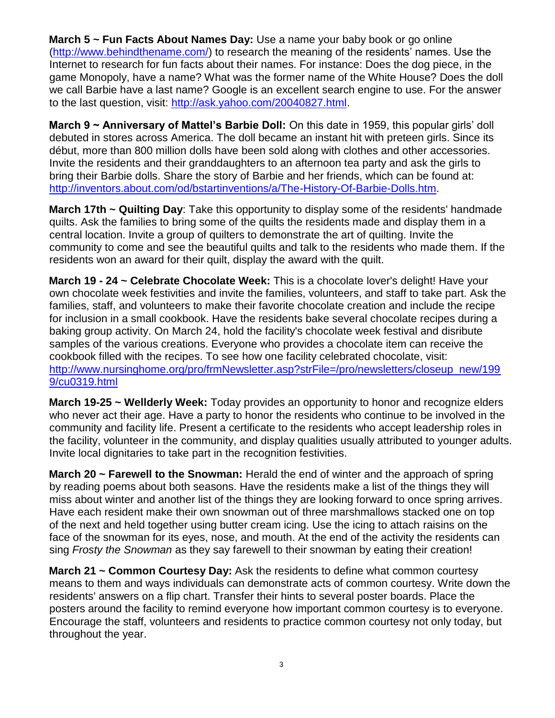**March 5 ~ Fun Facts About Names Day:** Use a name your baby book or go online [\(http://www.behindthename.com/\)](http://www.behindthename.com/) to research the meaning of the residents' names. Use the Internet to research for fun facts about their names. For instance: Does the dog piece, in the game Monopoly, have a name? What was the former name of the White House? Does the doll we call Barbie have a last name? Google is an excellent search engine to use. For the answer to the last question, visit: [http://ask.yahoo.com/20040827.html.](http://ask.yahoo.com/20040827.html)

**March 9 ~ Anniversary of Mattel's Barbie Doll:** On this date in 1959, this popular girls' doll debuted in stores across America. The doll became an instant hit with preteen girls. Since its début, more than 800 million dolls have been sold along with clothes and other accessories. Invite the residents and their granddaughters to an afternoon tea party and ask the girls to bring their Barbie dolls. Share the story of Barbie and her friends, which can be found at: [http://inventors.about.com/od/bstartinventions/a/The-History-Of-Barbie-Dolls.htm.](http://inventors.about.com/od/bstartinventions/a/The-History-Of-Barbie-Dolls.htm)

**March 17th ~ Quilting Day**: Take this opportunity to display some of the residents' handmade quilts. Ask the families to bring some of the quilts the residents made and display them in a central location. Invite a group of quilters to demonstrate the art of quilting. Invite the community to come and see the beautiful quilts and talk to the residents who made them. If the residents won an award for their quilt, display the award with the quilt.

**March 19 - 24 ~ Celebrate Chocolate Week:** This is a chocolate lover's delight! Have your own chocolate week festivities and invite the families, volunteers, and staff to take part. Ask the families, staff, and volunteers to make their favorite chocolate creation and include the recipe for inclusion in a small cookbook. Have the residents bake several chocolate recipes during a baking group activity. On March 24, hold the facility's chocolate week festival and disribute samples of the various creations. Everyone who provides a chocolate item can receive the cookbook filled with the recipes. To see how one facility celebrated chocolate, visit: [http://www.nursinghome.org/pro/frmNewsletter.asp?strFile=/pro/newsletters/closeup\\_new/199](http://www.nursinghome.org/pro/frmNewsletter.asp?strFile=/pro/newsletters/closeup_new/1999/cu0319.html)  [9/cu0319.html](http://www.nursinghome.org/pro/frmNewsletter.asp?strFile=/pro/newsletters/closeup_new/1999/cu0319.html)

**March 19-25 ~ Wellderly Week:** Today provides an opportunity to honor and recognize elders who never act their age. Have a party to honor the residents who continue to be involved in the community and facility life. Present a certificate to the residents who accept leadership roles in the facility, volunteer in the community, and display qualities usually attributed to younger adults. Invite local dignitaries to take part in the recognition festivities.

**March 20 ~ Farewell to the Snowman:** Herald the end of winter and the approach of spring by reading poems about both seasons. Have the residents make a list of the things they will miss about winter and another list of the things they are looking forward to once spring arrives. Have each resident make their own snowman out of three marshmallows stacked one on top of the next and held together using butter cream icing. Use the icing to attach raisins on the face of the snowman for its eyes, nose, and mouth. At the end of the activity the residents can sing *Frosty the Snowman* as they say farewell to their snowman by eating their creation!

**March 21 ~ Common Courtesy Day:** Ask the residents to define what common courtesy means to them and ways individuals can demonstrate acts of common courtesy. Write down the residents' answers on a flip chart. Transfer their hints to several poster boards. Place the posters around the facility to remind everyone how important common courtesy is to everyone. Encourage the staff, volunteers and residents to practice common courtesy not only today, but throughout the year.